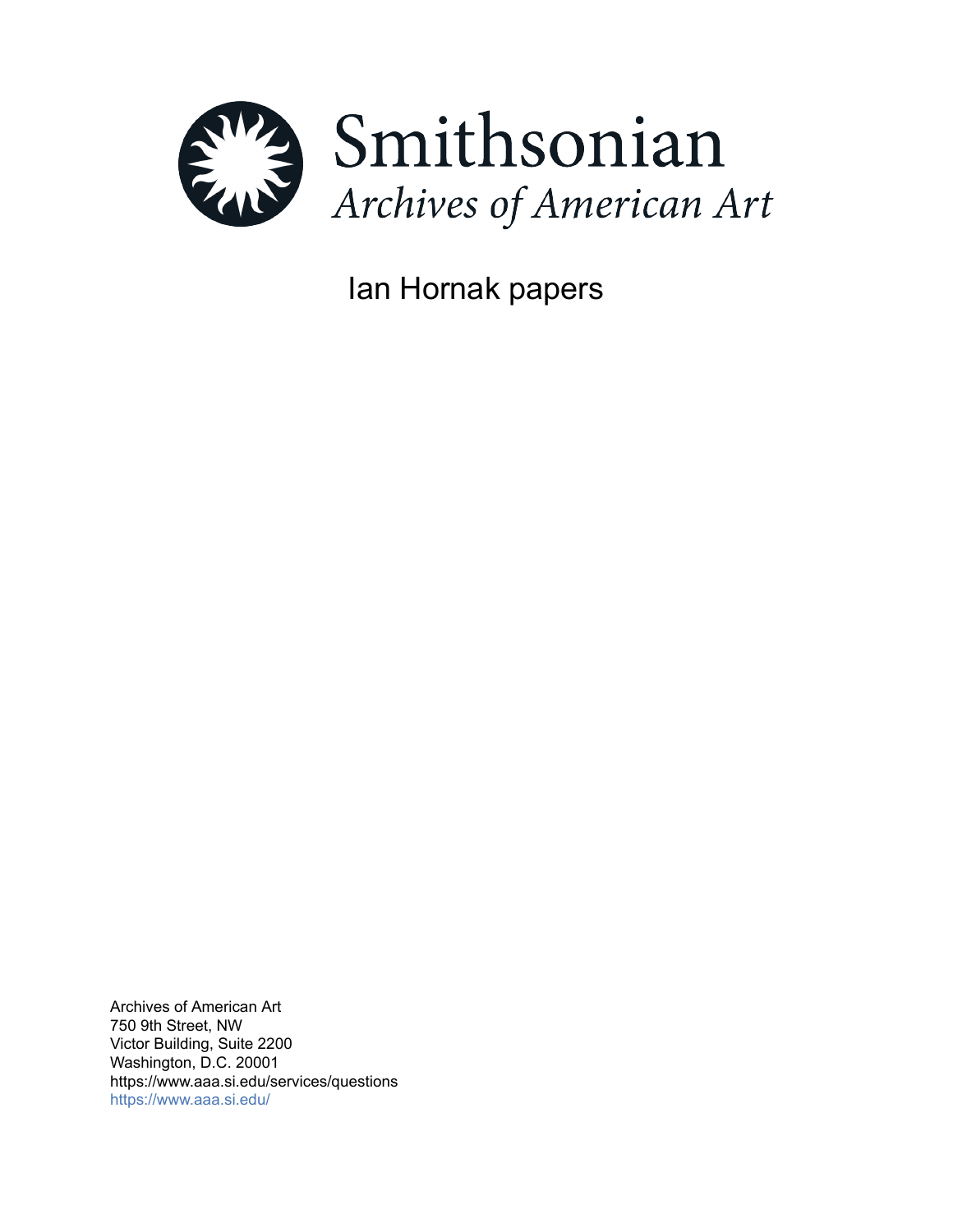

Ian Hornak papers

Archives of American Art 750 9th Street, NW Victor Building, Suite 2200 Washington, D.C. 20001 https://www.aaa.si.edu/services/questions <https://www.aaa.si.edu/>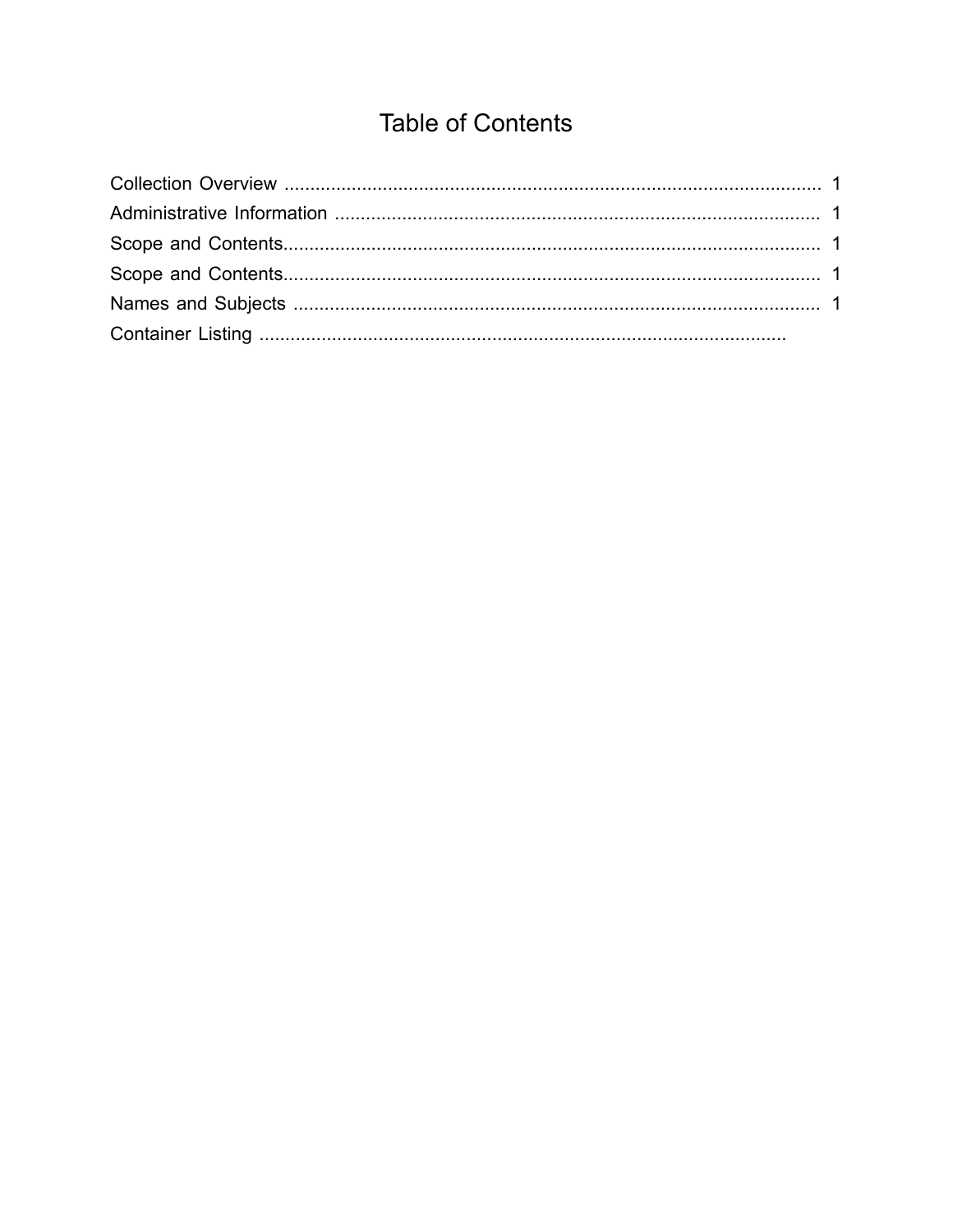# **Table of Contents**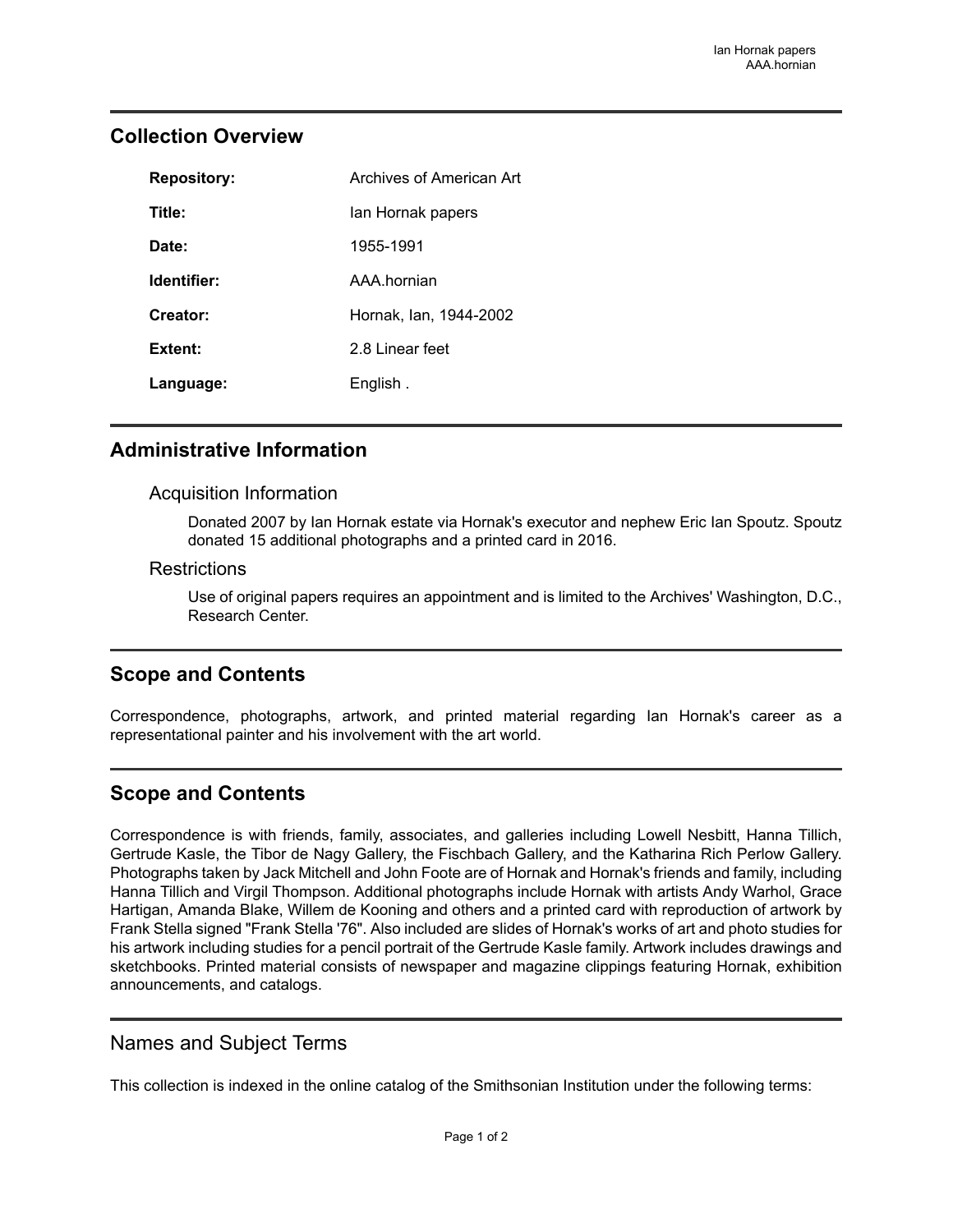| <b>Repository:</b> | Archives of American Art |
|--------------------|--------------------------|
| Title:             | lan Hornak papers        |
| Date:              | 1955-1991                |
| Identifier:        | AAA hornian              |
| Creator:           | Hornak, Ian, 1944-2002   |
| Extent:            | 2.8 Linear feet          |
| Language:          | English.                 |

### <span id="page-2-0"></span>**Collection Overview**

## <span id="page-2-1"></span>**Administrative Information**

#### Acquisition Information

Donated 2007 by Ian Hornak estate via Hornak's executor and nephew Eric Ian Spoutz. Spoutz donated 15 additional photographs and a printed card in 2016.

#### **Restrictions**

Use of original papers requires an appointment and is limited to the Archives' Washington, D.C., Research Center.

## <span id="page-2-2"></span>**Scope and Contents**

Correspondence, photographs, artwork, and printed material regarding Ian Hornak's career as a representational painter and his involvement with the art world.

## <span id="page-2-3"></span>**Scope and Contents**

Correspondence is with friends, family, associates, and galleries including Lowell Nesbitt, Hanna Tillich, Gertrude Kasle, the Tibor de Nagy Gallery, the Fischbach Gallery, and the Katharina Rich Perlow Gallery. Photographs taken by Jack Mitchell and John Foote are of Hornak and Hornak's friends and family, including Hanna Tillich and Virgil Thompson. Additional photographs include Hornak with artists Andy Warhol, Grace Hartigan, Amanda Blake, Willem de Kooning and others and a printed card with reproduction of artwork by Frank Stella signed "Frank Stella '76". Also included are slides of Hornak's works of art and photo studies for his artwork including studies for a pencil portrait of the Gertrude Kasle family. Artwork includes drawings and sketchbooks. Printed material consists of newspaper and magazine clippings featuring Hornak, exhibition announcements, and catalogs.

## <span id="page-2-4"></span>Names and Subject Terms

This collection is indexed in the online catalog of the Smithsonian Institution under the following terms: